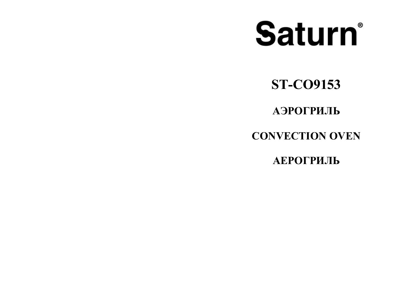# Saturn®

**ST-CO9153**

**АЭРОГРИЛЬ**

## **CONVECTION OVEN**

**АЕРОГРИЛЬ**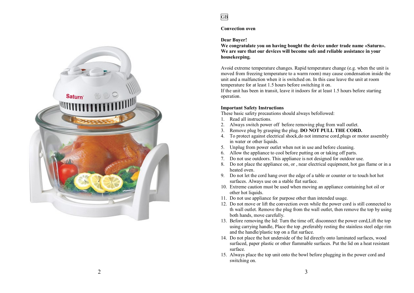

#### **Convection oven**

#### **Dear Buyer!**

**We congratulate you on having bought the device under trade name «Saturn». We are sure that our devices will become safe and reliable assistance in your housekeeping.**

Avoid extreme temperature changes. Rapid temperature change (e.g. when the unit is moved from freezing temperature to a warm room) may cause condensation inside the unit and a malfunction when it is switched on. In this case leave the unit at room temperature for at least 1.5 hours before switching it on.

If the unit has been in transit, leave it indoors for at least 1.5 hours before starting operation.

#### **Important Safety Instructions**

These basic safety precautions should always befollowed:

- 1. Read all instructions.
- 2. Always switch power off before removing plug from wall outlet.
- 3. Remove plug by grasping the plug. **DO NOT PULL THE CORD.**
- 4. To protect against electrical shock,do not immerse cord,plugs or motor assembly in water or other liquids.
- 5. Unplug from power outlet when not in use and before cleaning.
- 6. Allow the appliance to cool before putting on or taking off parts.
- 7. Do not use outdoors. This appliance is not designed for outdoor use.
- 8. Do not place the appliance on, or , near electrical equipment, hot gas flame or in a heated oven.
- 9. Do not let the cord hang over the edge of a table or counter or to touch hot hot surfaces. Always use on a stable flat surface.
- 10. Extreme caution must be used when moving an appliance containing hot oil or other hot liquids.
- 11. Do not use appliance for purpose other than intended usage.
- 12. Do not move or lift the convection oven while the power cord is still connected to th wall outlet. Remove the plug from the wall outlet, then remove the top by using both hands, move carefully.
- 13. Before removing the lid: Turn the time off, disconnect the power cord,Lift the top using carrying handle, Place the top ,preferably resting the stainless steel edge rim and the handle/plastic top on a flat surface.
- 14. Do not place the hot underside of the lid directly onto laminated surfaces, wood surfaced, paper plastic or other flammable surfaces. Put the lid on a heat resistant surface.
- 15. Always place the top unit onto the bowl before plugging in the power cord and switching on.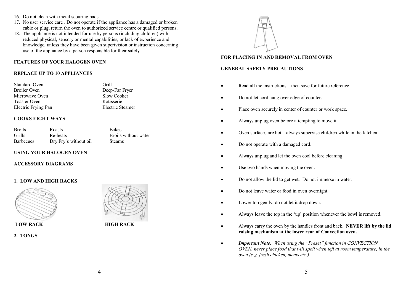- 16. Do not clean with metal scouring pads.
- 17. No user service care . Do not operate if the appliance has a damaged or broken cable or plug, return the oven to authorized service centre or qualified persons.
- 18. The appliance is not intended for use by persons (including children) with reduced physical, sensory or mental capabilities, or lack of experience and knowledge, unless they have been given superivision or instruction concerning use of the appliance by a person responsible for their safety.

#### **FEATURES OF YOUR HALOGEN OVEN**

#### **REPLACE UP TO 10 APPLIANCES**

| Grill |
|-------|
| Deep  |
| Slow  |
| Roti: |
| Elect |
|       |

#### **COOKS EIGHT WAYS**

| <b>Broils</b>    | <b>Roasts</b>         | <b>Bakes</b>         |
|------------------|-----------------------|----------------------|
| Grills           | Re-heats              | Broils without water |
| <b>Barbecues</b> | Dry Fry's without oil | <b>Steams</b>        |

#### **USING YOUR HALOGEN OVEN**

#### **ACCESSORY DIAGRAMS**

#### **1. LOW AND HIGH RACKS**



**2. TONGS**



Deep-Far Fryer Slow Cooker Rotisserie Electric Steamer

**LOW RACK HIGH RACK**



#### **FOR PLACING IN AND REMOVAL FROM OVEN**

#### **GENERAL SAFETY PRECAUTIONS**

- Read all the instructions then save for future reference
- · Do not let cord hang over edge of counter.
- · Place oven securely in center of counter or work space.
- · Always unplug oven before attempting to move it.
- · Oven surfaces are hot always supervise children while in the kitchen.
- Do not operate with a damaged cord.
- · Always unplug and let the oven cool before cleaning.
- · Use two hands when moving the oven.
- · Do not allow the lid to get wet. Do not immerse in water.
- Do not leave water or food in oven overnight.
- · Lower top gently, do not let it drop down.
- · Always leave the top in the 'up' position whenever the bowl is removed.
- · Always carry the oven by the handles front and back. **NEVER lift by the lid raising mechanism at the lower rear of Convection oven.**
- · *Important Note: When using the "Preset" function in CONVECTION OVEN, never place food that will spoil when left at room temperature, in the oven (e.g. fresh chicken, meats etc.).*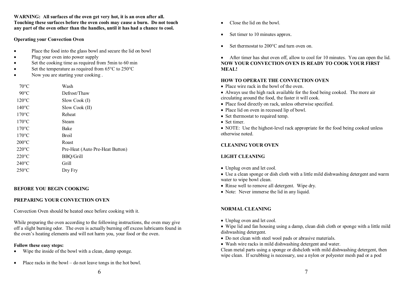**WARNING: All surfaces of the oven get very hot, it is an oven after all. Touching these surfaces before the oven cools may cause a burn. Do not touch any part of the oven other than the handles, until it has had a chance to cool.**

#### **Operating your Convection Oven**

- Place the food into the glass bowl and secure the lid on bowl
- Plug your oven into power supply
- Set the cooking time as required from 5min to 60 min
- Set the temperature as required from  $65^{\circ}$ C to  $250^{\circ}$ C
- Now you are starting your cooking.

| $70^{\circ}$ C  | Wash                            |
|-----------------|---------------------------------|
| $90^{\circ}$ C  | Defrost/Thaw                    |
| $120^{\circ}$ C | Slow Cook (I)                   |
| $140^{\circ}$ C | Slow Cook (II)                  |
| $170^{\circ}$ C | Reheat                          |
| $170^{\circ}$ C | Steam                           |
| $170^{\circ}$ C | Bake                            |
| $170^{\circ}$ C | <b>Broil</b>                    |
| $200^{\circ}$ C | Roast                           |
| $220^{\circ}$ C | Pre-Heat (Auto Pre-Heat Button) |
| $220^{\circ}$ C | <b>BBQ/Grill</b>                |
| $240^{\circ}$ C | Grill                           |
| $250^{\circ}$ C | Dry Fry                         |

#### **BEFORE YOU BEGIN COOKING**

#### **PREPARING YOUR CONVECTION OVEN**

Convection Oven should be heated once before cooking with it.

While preparing the oven according to the following instructions, the oven may give off a slight burning odor. The oven is actually burning off excess lubricants found in the oven's heating elements and will not harm you, your food or the oven.

#### **Follow these easy steps:**

- · Wipe the inside of the bowl with a clean, damp sponge.
- · Place racks in the bowl do not leave tongs in the hot bowl.
- Close the lid on the bowl.
- Set timer to 10 minutes approx.
- Set thermostat to 200<sup>o</sup>C and turn oven on.

• After timer has shut oven off, allow to cool for 10 minutes. You can open the lid. **NOW YOUR CONVECTION OVEN IS READY TO COOK YOUR FIRST MEAL!**

#### **HOW TO OPERATE THE CONVECTION OVEN**

- Place wire rack in the bowl of the oven.
- · Always use the high rack available for the food being cooked. The more air circulating around the food, the faster it will cook.
- · Place food directly on rack, unless otherwise specified.
- Place lid on oven in recessed lip of bowl.
- Set thermostat to required temp.
- Set timer

• NOTE: Use the highest-level rack appropriate for the food being cooked unless otherwise noted.

#### **CLEANING YOUR OVEN**

#### **LIGHT CLEANING**

• Unplug oven and let cool.

· Use a clean sponge or dish cloth with a little mild dishwashing detergent and warm water to wipe bowl clean.

- Rinse well to remove all detergent. Wipe dry.
- Note: Never immerse the lid in any liquid.

#### **NORMAL CLEANING**

• Unplug oven and let cool.

• Wipe lid and fan housing using a damp, clean dish cloth or sponge with a little mild dishwashing detergent.

- · Do not clean with steel wool pads or abrasive materials.
- · Wash wire racks in mild dishwashing detergent and water.

Clean metal parts using a sponge or dishcloth with mild dishwashing detergent, then wipe clean. If scrubbing is necessary, use a nylon or polyester mesh pad or a pod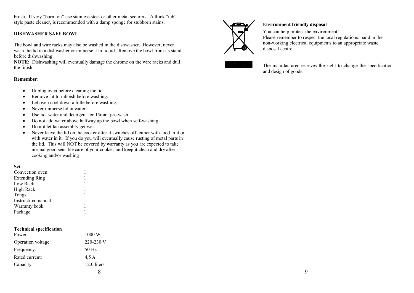brush. If very "burnt on" use stainless steel or other metal scourers. A thick "tub" style paste cleaner, is recommended with a damp sponge for stubborn stains.

#### **DISHWASHER SAFE BOWL**

The bowl and wire racks may also be washed in the dishwasher. However, never wash the lid in a dishwasher or immerse it in liquid. Remove the bowl from its stand before dishwashing.

**NOTE:** Dishwashing will eventually damage the chrome on the wire racks and dull the finish.

#### **Remember:**

- Unplug oven before cleaning the lid.
- Remove fat to rubbish before washing.
- · Let oven cool down a little before washing.
- Never immerse lid in water.
- · Use hot water and detergent for 15min. pre-wash.
- · Do not add water above halfway up the bowl when self-washing.
- · Do not let fan assembly get wet.
- · Never leave the lid on the cooker after it switches off, either with food in it or with water in it. If you do you will eventually cause rusting of metal parts in the lid. This will NOT be covered by warranty as you are expected to take normal good sensible care of your cooker, and keep it clean and dry after cooking and/or washing

#### **Set**

| Convection oven       |  |
|-----------------------|--|
| <b>Extending Ring</b> |  |
| Low Rack              |  |
| High Rack             |  |
| Tongs                 |  |
| Instruction manual    |  |
| Warranty book         |  |
| Package               |  |
|                       |  |

| <b>Technical specification</b> |                  |
|--------------------------------|------------------|
| Power:                         | $1000 \text{ W}$ |
| Operation voltage:             | 220-230 V        |
| Frequency:                     | 50 Hz            |
| Rated current:                 | 4.5A             |
| Capacity:                      | 12.0 liters      |
|                                |                  |



#### **Environment friendly disposal**

You can help protect the environment! Please remember to respect the local regulations: hand in the non-working electrical equipments to an appropriate waste disposal centre.



The manufacturer reserves the right to change the specification and design of goods.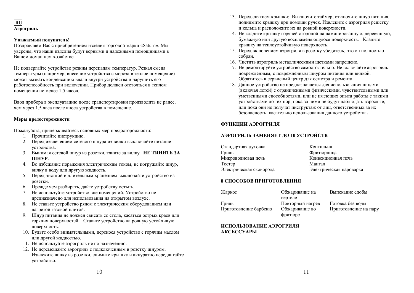RU **Аэрогриль** 

#### **Уважаемый покупатель!**

Поздравляем Вас с приобретением изделия торговой марки «Saturn». Мы уверены, что наши изделия будут верными и надежными помощниками в Вашем домашнем хозяйстве.

Не подвергайте устройство резким перепадам температур. Резкая смена температуры (например, внесение устройства с мороза в теплое помещение) может вызвать конденсацию влаги внутри устройства и нарушить его работоспособность при включении. Прибор должен отстояться в теплом помещении не менее 1,5 часов.

Ввод прибора в эксплуатацию после транспортировки производить не ранее, чем через 1,5 часа после вноса устройства в помещение.

#### **Меры предосторожности**

Пожалуйста, придерживайтесь основных мер предосторожности:

- 1. Прочитайте инструкцию.
- 2. Перед извлечением сетевого шнура из вилки выключайте питание устройства.
- 3. Вынимая сетевой шнур из розетки, тяните за вилку. **НЕ ТЯНИТЕ ЗА ШНУР.**
- 4. Во избежание поражения электрическим током, не погружайте шнур, вилку в воду или другую жидкость.
- 5. Перед чисткой и длительным хранением выключайте устройство из розетки.
- 6. Прежде чем разбирать, дайте устройству остыть.
- 7. Не используйте устройство вне помещений. Устройство не предназначено для использования на открытом воздухе.
- 8. Не ставьте устройство рядом с электрическим оборудованием или нагретой газовой плитой.
- 9. Шнур питания не должен свисать со стола, касаться острых краев или горячих поверхностей. Ставьте устройство на ровную устойчивую поверхность.
- 10. Будьте особо внимательными, перенося устройство с горячим маслом или другой жидкостью.
- 11. Не используйте аэрогриль не по назначению.
- 12. Не перемещайте аэрогриль с подключенным в розетку шнуром. Извлеките вилку из розетки, снимите крышку и аккуратно передвигайте устройство.
- 13. Перед снятием крышки: Выключите таймер, отключите шнур питания, поднимите крышку при помощи ручек. Извлеките с аэрогриля решетку и кольца и расположите их на ровной поверхности.
- 14. Не кладите крышку горячей стороной на ламинированную, деревянную, бумажную или другую воспламеняющуюся поверхность. Кладите крышку на теплоустойчивую поверхность.
- 15. Перед включением аэрогриля в розетку убедитесь, что он полностью собран.
- 16. Чистить аэрогриль металлическими щетками запрещено.
- 17. Не ремонтируйте устройство самостоятельно. Не включайте аэрогриль поврежденным, с поврежденным шнуром питания или вилкой. Обратитесь в сервисный центр для осмотра и ремонта.
- 18. Данное устройство не предназначается для использования лицами (включая детей) с ограниченными физическими, чувствительными или умственными способностями, или не имеющих опыта работы с такими устройствами до тех пор, пока за ними не будут наблюдать взрослые, или пока они не получат инструктаж от лиц, ответственных за их безопасность касательно использования данного устройства**.**

#### **ФУНКЦИИ АЭРОГРИЛЯ**

#### **АЭРОГРИЛЬ ЗАМЕНЯЕТ ДО 10 УСТРОЙСТВ**

Стандартная духовка Коптильня Гриль Фритюрница Микроволновая печь Конвекционная печь Тостер Мангал Электрическая сковорода Электрическая пароварка

#### **8 СПОСОБОВ ПРИГОТОВЛЕНИЯ**

| Жаркое                | Обжаривание на   | Выпекание сдобы       |
|-----------------------|------------------|-----------------------|
|                       | вертеле          |                       |
| Гриль                 | Повторный нагрев | Готовка без воды      |
| Приготовление барбекю | Обжаривание во   | Приготовление на пару |
|                       | фритюре          |                       |

#### **ИСПОЛЬЗОВАНИЕ АЭРОГРИЛЯ АКСЕССУАРЫ**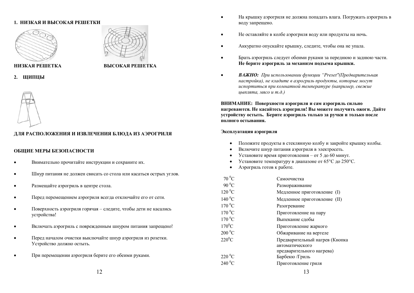#### **1. НИЗКАЯ И ВЫСОКАЯ РЕШЕТКИ**





#### **НИЗКАЯ РЕШЕТКА ВЫСОКАЯ РЕШЕТКА**

**2. ЩИПЦЫ** 



#### **ДЛЯ РАСПОЛОЖЕНИЯ И ИЗВЛЕЧЕНИЯ БЛЮДА ИЗ АЭРОГРИЛЯ**

#### **ОБЩИЕ МЕРЫ БЕЗОПАСНОСТИ**

- · Внимательно прочитайте инструкции и сохраните их.
- · Шнур питания не должен свисать со стола или касаться острых углов.
- Размещайте аэрогриль в центре стола.
- · Перед перемещением аэрогриля всегда отключайте его от сети.
- · Поверхность аэрогриля горячая следите, чтобы дети не касались устройства!
- Включать аэрогриль с поврежденным шнуром питания запрещено!
- · Перед началом очистки выключайте шнур аэрогриля из розетки. Устройство должно остыть.
- · При перемещении аэрогриля берите его обеими руками.
- · На крышку аэрогриля не должна попадать влага. Погружать аэрогриль в воду запрещено.
- · Не оставляйте в колбе аэрогриля воду или продукты на ночь.
- · Аккуратно опускайте крышку, следите, чтобы она не упала.
- · Брать аэрогриль следует обеими руками за переднюю и заднюю части. **Не берите аэрогриль за механизм подъема крышки.**
- · *ВАЖНО: При использовании функции "Preset"(Предварительная настройка), не кладите в аэрогриль продукты, которые могут испортиться при комнатной температуре (например, свежие цыплята, мясо и т.д.)*

**ВНИМАНИЕ: Поверхности аэрогриля и сам аэрогриль сильно нагреваются. Не касайтесь аэрогриля! Вы можете получить ожоги. Дайте устройству остыть. Берите аэрогриль только за ручки и только после полного остывания.** 

#### **Эксплуатация аэрогриля**

- · Положите продукты в стеклянную колбу и закройте крышку колбы.
- · Включите шнур питания аэрогриля в электросеть.
- Установите время приготовления от 5 до 60 минут.
- Установите температуру в диапазоне от  $65^{\circ}$ С до 250 $^{\circ}$ С.
- · Аэрогриль готов к работе.

| $70\,^0C$       | Самоочистка                    |
|-----------------|--------------------------------|
| $90\text{ °C}$  | Размораживание                 |
| $120\text{ °C}$ | Медленное приготовление (I)    |
| $140\text{ °C}$ | Медленное приготовление (II)   |
| $170\,^0C$      | Разогревание                   |
| $170\,^0C$      | Приготовление на пару          |
| $170\text{ °C}$ | Выпекание сдобы                |
| $170^0$ C       | Приготовление жаркого          |
| $200\text{ °C}$ | Обжаривание на вертеле         |
| $220^0C$        | Предварительный нагрев (Кнопка |
|                 | автоматического                |
|                 | предварительного нагрева)      |
| $220\,^0C$      | Барбекю /Гриль                 |
| $240\,^0C$      | Приготовление гриля            |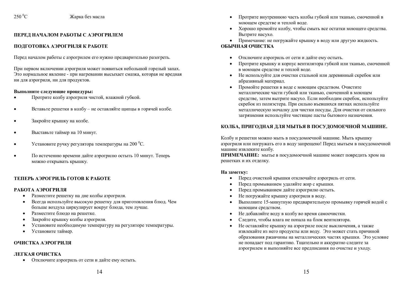#### **ПЕРЕД НАЧАЛОМ РАБОТЫ С АЭРОГРИЛЕМ**

#### **ПОДГОТОВКА АЭРОГРИЛЯ К РАБОТЕ**

Перед началом работы с аэрогрилем его нужно предварительно разогреть.

При первом включении аэрогриля может появиться небольшой горелый запах. Это нормальное явление - при нагревании высыхает смазка, которая не вредная ни для аэрогриля, ни для продуктов.

#### **Выполните следующие процедуры:**

- · Протрите колбу аэрогриля чистой, влажной губкой.
- · Вставьте решетки в колбу не оставляйте щипцы в горячей колбе.
- Закройте крышку на колбе.
- · Выставьте таймер на 10 минут.
- Установите ручку регулятора температуры на 200 °С.
- · По истечению времени дайте аэрогрилю остыть 10 минут. Теперь можно открывать крышку.

#### **ТЕПЕРЬ АЭРОГРИЛЬ ГОТОВ К РАБОТЕ**

#### **РАБОТА АЭРОГРИЛЯ**

- · Разместите решетку на дне колбы аэрогриля.
- · Всегда используйте высокую решетку для приготовления блюд. Чем больше воздуха циркулирует вокруг блюда, тем лучше.
- · Разместите блюдо на решетке.
- · Закройте крышку колбы аэрогриля.
- · Установите необходимую температуру на регуляторе температуры.
- Установите таймер.

#### **ОЧИСТКА АЭРОГРИЛЯ**

#### **ЛЕГКАЯ ОЧИСТКА**

· Отключите аэрогриль от сети и дайте ему остыть.

- · Протрите внутреннюю часть колбы губкой или тканью, смоченной в моющем средстве и теплой воде.
- · Хорошо промойте колбу, чтобы смыть все остатки моющего средства. Вытрите насухо.
- · Примечание: не погружайте крышку в воду или другую жидкость.

#### **ОБЫЧНАЯ ОЧИСТКА**

- · Отключите аэрогриль от сети и дайте ему остыть.
- · Протрите крышку и корпус вентилятора губкой или тканью, смоченной в моющем средстве и теплой воде.
- · Не используйте для очистки стальной или деревянный скребок или абразивный материал.
- · Промойте решетки в воде с моющим средством. Очистите металлические части губкой или тканью, смоченной в моющем средстве, затем вытрите насухо. Если необходим скребок, используйте скребок из полиэстера. При сильно въевшихся пятнах используйте металлическую мочалку для чистки посуды. Для очистки от сильного загрязнения используйте чистящие пасты бытового назначения.

#### **КОЛБА, ПРИГОДНАЯ ДЛЯ МЫТЬЯ В ПОСУДОМОЕЧНОЙ МАШИНЕ.**

Колбу и решетки можно мыть в посудомоечной машине. Мыть крышку аэрогриля или погружать его в воду запрещено! Перед мытьем в посудомоечной машине извлеките колбу.

**ПРИМЕЧАНИЕ:** мытье в посудомоечной машине может повредить хром на решетках и их отделку.

#### **На заметку:**

- · Перед очисткой крышки отключайте аэрогриль от сети.
- · Перед промыванием удаляйте жир с крышки.
- · Перед промыванием дайте аэрогрилю остыть.
- · Не погружайте крышку аэрогриля в воду.
- · Выполните 15-минутную предварительную промывку горячей водой с моющим средством.
- · Не добавляйте воду в колбу во время самоочистки.
- · Следите, чтобы влага не попала на блок вентилятора.
- · Не оставляйте крышку на аэрогриле после выключения, а также извлекайте из него продукты или воду. Это может стать причиной образования ржавчины на металлических частях крышки. Это условие не попадает под гарантию. Тщательно и аккуратно следите за аэрогрилем и выполняйте все предписания по очистке и уходу.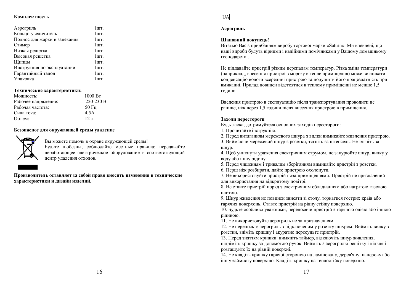#### **Комплектность**

| Аэрогриль                    | $1$ HIT.          |
|------------------------------|-------------------|
| Кольцо-увеличитель           | $1$ HIT.          |
| Поднос для жарки и запекания | $1$ HIT.          |
| Стимер                       | $1$ HIT.          |
| Низкая решетка               | 1 <sub>III</sub>  |
| Высокая решетка              | $1$ HIT.          |
| Щипцы                        | $1$ HIT.          |
| Инструкция по эксплуатации   | 1 <sub>III</sub>  |
| Гарантийный талон            | 1 <sub>IIIT</sub> |
| Упаковка                     | 1 HIT             |
|                              |                   |

#### **Технические характеристики:**

| 1000 B <sub>T</sub> |
|---------------------|
| 220-230 B           |
| $50 \Gamma$ II      |
| 4.5A                |
| $12 \pi$            |
|                     |

#### **Безопасное для окружающей среды удаление**



Вы можете помочь в охране окружающей среды! Будьте любезны, соблюдайте местные правила: передавайте неработающее электрическое оборудование в соответствующий центр удаления отходов.

**Производитель оставляет за собой право вносить изменения в технические характеристики и дизайн изделий.**



#### **Аерогриль**

#### **Шановний покупець!**

Вітаємо Вас з придбанням виробу торгової марки «Saturn». Ми впевнені, що наші вироби будуть вірними і надійними помічниками у Вашому домашньому господарстві.

Не піддавайте пристрій різким перепадам температур. Різка зміна температури (наприклад, внесення пристрої з морозу в тепле приміщення) може викликати конденсацію вологи всередині пристрою та порушити його працездатність при вмиканні. Прилад повинен відстоятися в теплому приміщенні не менше 1,5 години

Введення пристрою в експлуатацію після транспортування проводити не раніше, ніж через 1,5 години після внесення пристрою в приміщення.

#### **Заходи перестороги**

Будь ласка, дотримуйтеся основних заходів перестороги:

1. Прочитайте інструкцію.

2. Перед витяганням мережевого шнура з вилки вимикайте живлення пристрою.

3. Виймаючи мережевий шнур з розетки, тягніть за штепсель. Не тягніть за шнур.

4. Щоб уникнути ураження електричним струмом, не занурюйте шнур, вилку у воду або іншу рідину.

5. Перед чищенням і тривалим зберіганням вимикайте пристрій з розетки.

6. Перш ніж розбирати, дайте пристрою охолонути.

7. Не використовуйте пристрій поза приміщеннями. Пристрій не призначений для використання на відкритому повітрі.

8. Не ставте пристрій поряд з електричним обладнанням або нагрітою газовою плитою.

9. Шнур живлення не повинен звисати зі столу, торкатися гострих країв або гарячих поверхонь. Ставте пристрій на рівну стійку поверхню.

10. Будьте особливо уважними, переносячи пристрій з гарячою олією або іншою рідиною.

11. Не використовуйте аерогриль не за призначенням.

12. Не переносьте аерогриль з підключеним у розетку шнуром. Вийміть вилку з розетки, зніміть кришку і акуратно пересуньте пристрій.

13. Перед зняттям кришки: вимкніть таймер, відключіть шнур живлення,

підніміть кришку за допомогою ручок. Вийміть з аерогрилю решітку і кільця і розташуйте їх на рівній поверхні.

14. Не кладіть кришку гарячої стороною на ламіновану, дерев'яну, паперову або іншу займисту поверхню. Кладіть кришку на теплостійку поверхню.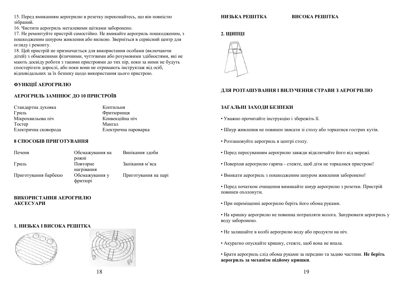15. Перед вмиканням аерогрилю в розетку переконайтесь, що він повністю зібраний.

16. Чистити аерогриль металевими щітками заборонено.

17. Не ремонтуйте пристрій самостійно. Не вмикайте аерогриль пошкодженим, з пошкодженим шнуром живлення або вилкою. Зверніться в сервісний центр для огляду і ремонту.

18. Цей пристрій не призначається для використання особами (включаючи дітей) з обмеженими фізичними, чуттєвими або розумовими здібностями, які не мають досвіду роботи з такими пристроями до тих пір, поки за ними не будуть спостерігати дорослі, або поки вони не отримають інструктаж від осіб, відповідальних за їх безпеку щодо використання цього пристрою.

#### **ФУНКЦІЇ АЕРОГРИЛЮ**

#### **АЕРОГРИЛЬ ЗАМІНЮЄ ДО 10 ПРИСТРОЇВ**

| Стандартна духовка   | Коптильня            |
|----------------------|----------------------|
| Гриль                | Фритюрниця           |
| Мікрохвильова піч    | Конвекційна піч      |
| Tocrep               | Мангал               |
| Електрична сковорода | Електрична пароварка |

#### **8 СПОСОБІВ ПРИГОТУВАННЯ**

| Печеня               | Обсмажування на           | Випікання здоби      |
|----------------------|---------------------------|----------------------|
|                      | рожні                     |                      |
| Гриль                | Повторне                  | Запікання м'яса      |
|                      | нагрівання                |                      |
| Приготування барбекю | Обсмажування у<br>фритюрі | Приготування на парі |

#### **ВИКОРИСТАННЯ АЕРОГРИЛЮ АКСЕСУАРИ**

#### **1. НИЗЬКА І ВИСОКА РЕШІТКА**





#### **НИЗЬКА РЕШІТКА ВИСОКА РЕШІТКА**

#### **2. ЩИПЦІ**



#### **ДЛЯ РОЗТАШУВАННЯ І ВИЛУЧЕННЯ СТРАВИ З АЕРОГРИЛЮ**

#### **ЗАГАЛЬНІ ЗАХОДИ БЕЗПЕКИ**

- Уважно прочитайте інструкцію і збережіть її.
- Шнур живлення не повинен звисати зі столу або торкатися гострих кутів.
- Розташовуйте аерогриль в центрі столу.
- Перед пересуванням аерогрилю завжди відключайте його від мережі.
- Поверхня аерогрилю гаряча стежте, щоб діти не торкалися пристрою!
- Вмикати аерогриль з пошкодженим шнуром живлення заборонено!
- Перед початком очищення вимикайте шнур аерогрилю з розетки. Пристрій повинен охолонути.
- При переміщенні аерогрилю беріть його обома руками.
- На кришку аерогрилю не повинна потрапляти волога. Занурювати аерогриль у воду заборонено.
- Не залишайте в колбі аерогрилю воду або продукти на ніч.
- Акуратно опускайте кришку, стежте, щоб вона не впала.
- Брати аерогриль слід обома руками за передню та задню частини. **Не беріть аерогриль за механізм підйому кришки**.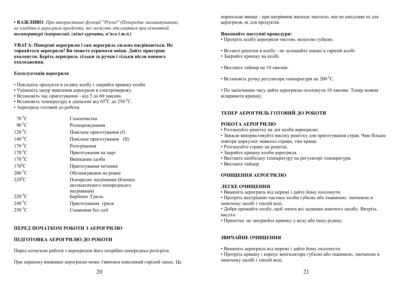**• ВАЖЛИВО**: *При використанні функції "Preset" (Попереднє налаштування), не кладіть в аерогриль продукти, які можуть зіпсуватися при кімнатній температурі (наприклад, свіжі курчата, м'ясо і т.д.)*

**УВАГА: Поверхні аерогрилю і сам аерогриль сильно нагріваються. Не торкайтеся аерогриля! Ви можете отримати опіки. Дайте пристрою охолонути. Беріть аерогриль тільки за ручки і тільки після повного охолодження.**

#### **Експлуатація аерогриля**

- Покладіть продукти в скляну колбу і закрийте кришку колби.
- Увімкніть шнур живлення аерогриля в електромережу.
- Встановіть час приготування від 5 до 60 хвилин.
- Встановіть температуру в діапазоні від 65<sup>°</sup>С до 250<sup>°</sup>С.
- Аерогриль готовий до роботи.

| $70\,^0C$       | Самоочистка                  |
|-----------------|------------------------------|
| $90\text{ °C}$  | Розморожування               |
| $120\text{ °C}$ | Повільне приготування (I)    |
| $140\,^0$ C     | Повільне приготування (II)   |
| $170\text{ °C}$ | Розігрівання                 |
| $170\,^0C$      | Приготування на парі         |
| $170\,^0C$      | Випікання здоби              |
| $170^0$ C       | Приготування печення         |
| $200\,^0C$      | Обсмажування на рожні        |
| $220^0C$        | Попереднє нагрівання (Кнопка |
|                 | автоматичного попереднього   |
|                 | нагрівання)                  |
| $220\,^0$ C     | Барбекю /Гриль               |
| $240\,^0C$      | Приготування гриля           |
| $250\,^0C$      | Смаження без олії            |
|                 |                              |

#### **ПЕРЕД ПОЧАТКОМ РОБОТИ З АЕРОГРИЛЮ**

#### **ПІДГОТОВКА АЕРОГРИЛЮ ДО РОБОТИ**

Перед початком роботи з аерогрилем його потрібно попередньо розігріти.

При першому вмиканні аерогрилю може з'явитися невеликий горілий запах. Це

нормальне явище - при нагріванні висихає мастило, яке не шкідливе ні для аерогриля, ні для продуктів.

#### **Виконайте наступні процедури:**

- Протріть колбу аерогриля чистою, вологою губкою.
- Вставте решітки в колбу не залишайте щипці в гарячій колбі.
- Закрийте кришку на колбі.
- Виставте таймер на 10 хвилин.
- Встановіть ручку регулятора температури на 200 °С.
- По закінченню часу дайте аерогрилю охолонути 10 хвилин. Тепер можна відкривати кришку.

#### **ТЕПЕР АЕРОГРИЛЬ ГОТОВИЙ ДО РОБОТИ**

#### **РОБОТА АЕРОГРИЛЮ**

- Розташуйте решітку на дні колби аерогрилю.
- Завжди використовуйте високу решітку для приготування страв. Чим більше повітря циркулює навколо страви, тим краще.
- Розташуйте страву на решітці.
- Закрийте кришку колби аерогриля.
- Виставте необхідну температуру на регуляторі температури.
- Виставте таймер.

#### **ОЧИЩЕННЯ АЕРОГРИЛЮ**

#### **ЛЕГКЕ ОЧИЩЕННЯ**

- Вимкніть аерогриль від мережі і дайте йому охолонути.
- Протріть внутрішню частину колби губкою або тканиною, змоченою в миючому засобі і теплій воді.
- Добре промийте колбу, щоб змити всі залишки миючого засобу. Витріть насухо.
- Примітка: не занурюйте кришку у воду або іншу рідину.

### **ЗВИЧАЙНЕ ОЧИЩЕННЯ**

- Вимкніть аерогриль від мережі і дайте йому охолонути.
- Протріть кришку і корпус вентилятора губкою або тканиною, змоченою в миючому засобі і теплій воді.